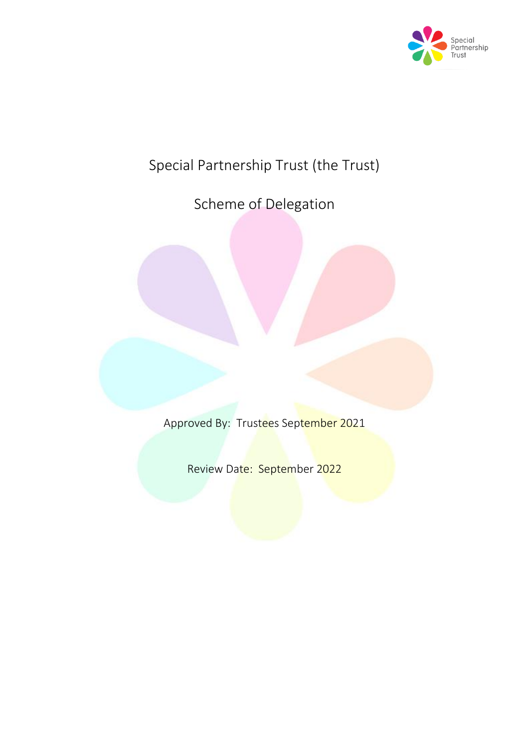

# Special Partnership Trust (the Trust)

Scheme of Delegation

Approved By: Trustees September 2021

Review Date: September 2022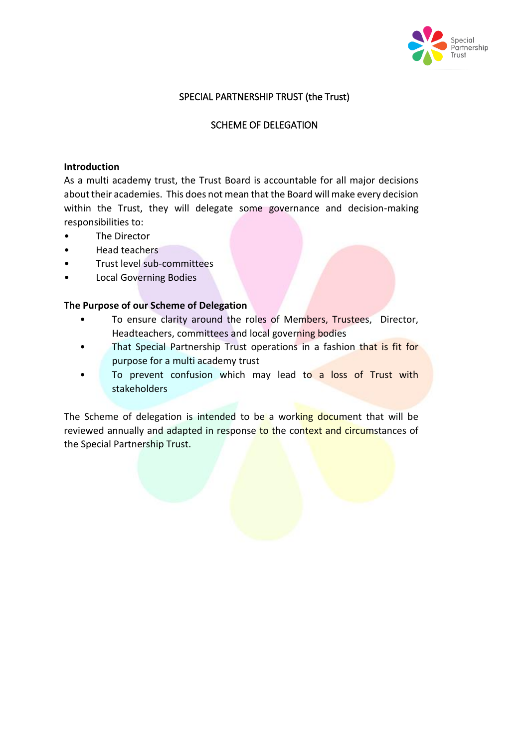

## SPECIAL PARTNERSHIP TRUST (the Trust)

#### SCHEME OF DELEGATION

#### **Introduction**

As a multi academy trust, the Trust Board is accountable for all major decisions about their academies. This does not mean that the Board will make every decision within the Trust, they will delegate some governance and decision-making responsibilities to:

- The Director
- Head teachers
- Trust level sub-committees
- Local Governing Bodies

#### **The Purpose of our Scheme of Delegation**

- To ensure clarity around the roles of Members, Trustees, Director, Headteachers, committees and local governing bodies
- That Special Partnership Trust operations in a fashion that is fit for purpose for a multi academy trust
- To prevent confusion which may lead to a loss of Trust with stakeholders

The Scheme of delegation is intended to be a working document that will be reviewed annually and adapted in response to the context and circumstances of the Special Partnership Trust.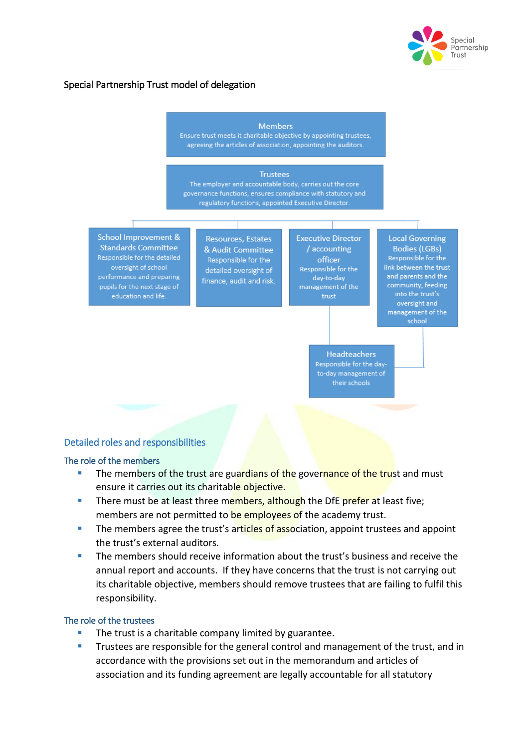

## Special Partnership Trust model of delegation

#### **Members**

Ensure trust meets it charitable objective by appointing trustees, agreeing the articles of association, appointing the auditors.

#### **Trustees**

The employer and accountable body, carries out the core governance functions, ensures compliance with statutory and regulatory functions, appointed Executive Director

**School Improvement & Standards Committee** Responsible for the detailed oversight of school performance and preparing pupils for the next stage of education and life.

**Resources, Estates** & Audit Committee Responsible for the detailed oversight of finance, audit and risk. **Executive Director** / accounting officer Responsible for the day-to-day management of the

**Local Governing Bodies (LGBs)** Responsible for the link between the trust and parents and the community, feeding into the trust's oversight and management of the school

Headteachers Responsible for the dayto-day management of<br>their schools

#### Detailed roles and responsibilities

#### The role of the members

- The members of the trust are guardians of the governance of the trust and must ensure it carries out its charitable objective.
- There must be at least three members, although the DfE prefer at least five: members are not permitted to be employees of the academy trust.
- The members agree the trust's articles of association, appoint trustees and appoint the trust's external auditors.
- **The members should receive information about the trust's business and receive the** annual report and accounts. If they have concerns that the trust is not carrying out its charitable objective, members should remove trustees that are failing to fulfil this responsibility.

#### The role of the trustees

- The trust is a charitable company limited by guarantee.
- Trustees are responsible for the general control and management of the trust, and in accordance with the provisions set out in the memorandum and articles of association and its funding agreement are legally accountable for all statutory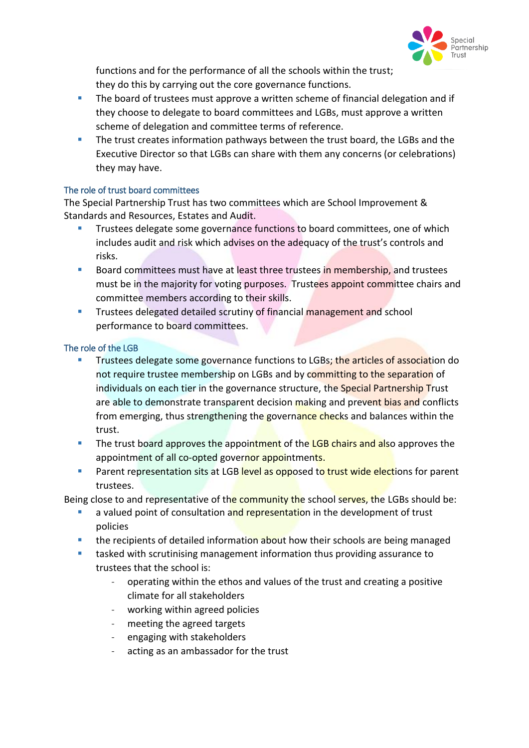

functions and for the performance of all the schools within the trust; they do this by carrying out the core governance functions.

- **The board of trustees must approve a written scheme of financial delegation and if** they choose to delegate to board committees and LGBs, must approve a written scheme of delegation and committee terms of reference.
- The trust creates information pathways between the trust board, the LGBs and the Executive Director so that LGBs can share with them any concerns (or celebrations) they may have.

### The role of trust board committees

The Special Partnership Trust has two committees which are School Improvement & Standards and Resources, Estates and Audit.

- Trustees delegate some governance functions to board committees, one of which includes audit and risk which advises on the adequacy of the trust's controls and risks.
- Board committees must have at least three trustees in membership, and trustees must be in the majority for voting purposes. Trustees appoint committee chairs and committee members according to their skills.
- **Trustees delegated detailed scrutiny of financial management and school** performance to board committees.

#### The role of the LGB

- Trustees delegate some governance functions to LGBs; the articles of association do not require trustee membership on LGBs and by committing to the separation of individuals on each tier in the governance structure, the Special Partnership Trust are able to demonstrate transparent decision making and prevent bias and conflicts from emerging, thus strengthening the governance checks and balances within the trust.
- The trust board approves the appointment of the LGB chairs and also approves the appointment of all co-opted governor appointments.
- **Parent representation sits at LGB level as opposed to trust wide elections for parent** trustees.

Being close to and representative of the community the school serves, the LGBs should be:

- a valued point of consultation and representation in the development of trust policies
- **the recipients of detailed information about how their schools are being managed**
- **tasked with scrutinising management information thus providing assurance to** trustees that the school is:
	- operating within the ethos and values of the trust and creating a positive climate for all stakeholders
	- working within agreed policies
	- meeting the agreed targets
	- engaging with stakeholders
	- acting as an ambassador for the trust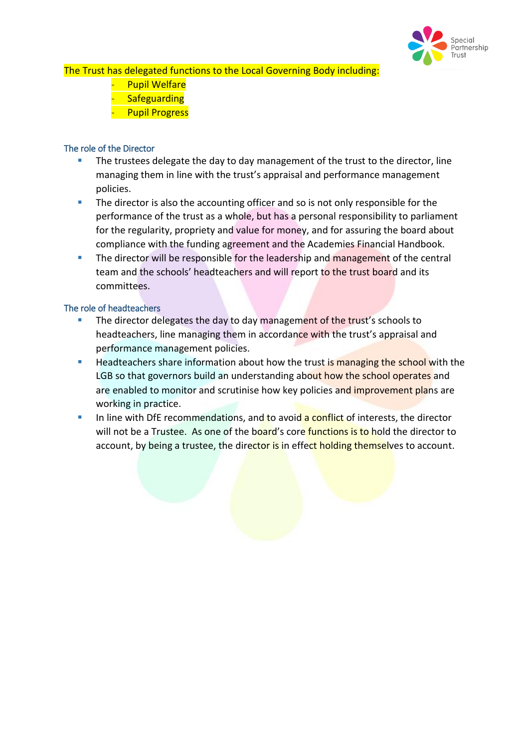

The Trust has delegated functions to the Local Governing Body including:

- **Pupil Welfare**
- **Safeguarding**
- **Pupil Progress**

### The role of the Director

- The trustees delegate the day to day management of the trust to the director, line managing them in line with the trust's appraisal and performance management policies.
- The director is also the accounting officer and so is not only responsible for the performance of the trust as a whole, but has a personal responsibility to parliament for the regularity, propriety and value for money, and for assuring the board about compliance with the funding agreement and the Academies Financial Handbook.
- The director will be responsible for the leadership and management of the central team and the schools' headteachers and will report to the trust board and its committees.

#### The role of headteachers

- The director delegates the day to day management of the trust's schools to headteachers, line managing them in accordance with the trust's appraisal and performance management policies.
- Headteachers share information about how the trust is managing the school with the LGB so that governors build an understanding about how the school operates and are enabled to monitor and scrutinise how key policies and improvement plans are working in practice.
- In line with DfE recommendations, and to avoid a conflict of interests, the director will not be a Trustee. As one of the board's core functions is to hold the director to account, by being a trustee, the director is in effect holding themselves to account.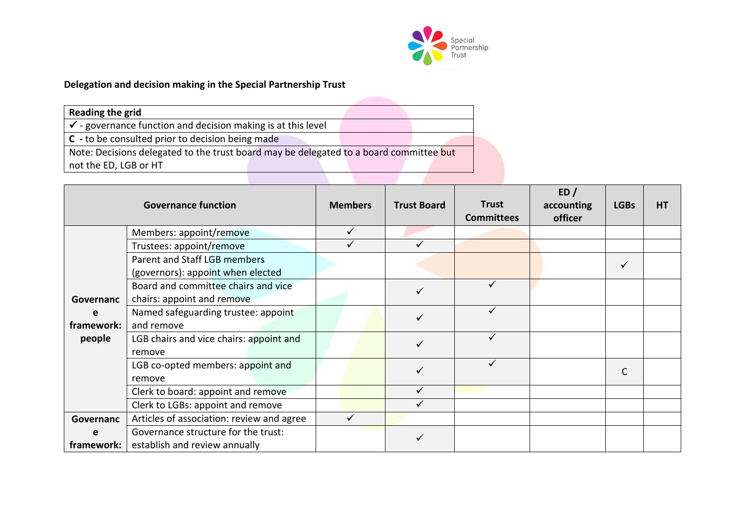

# **Delegation and decision making in the Special Partnership Trust**

| Reading the grid                                                                       |
|----------------------------------------------------------------------------------------|
| $\checkmark$ - governance function and decision making is at this level                |
| C - to be consulted prior to decision being made                                       |
| Note: Decisions delegated to the trust board may be delegated to a board committee but |
| not the ED, LGB or HT                                                                  |

|            | <b>Governance function</b>                | <b>Members</b> | <b>Trust Board</b> | <b>Trust</b><br><b>Committees</b> | ED/<br>accounting<br>officer | <b>LGBs</b> | <b>HT</b> |
|------------|-------------------------------------------|----------------|--------------------|-----------------------------------|------------------------------|-------------|-----------|
|            | Members: appoint/remove                   | $\checkmark$   |                    |                                   |                              |             |           |
|            | Trustees: appoint/remove                  | ✓              |                    |                                   |                              |             |           |
|            | Parent and Staff LGB members              |                |                    |                                   |                              | ✓           |           |
|            | (governors): appoint when elected         |                |                    |                                   |                              |             |           |
|            | Board and committee chairs and vice       |                |                    |                                   |                              |             |           |
| Governanc  | chairs: appoint and remove                |                |                    |                                   |                              |             |           |
| e          | Named safeguarding trustee: appoint       |                |                    |                                   |                              |             |           |
| framework: | and remove                                |                |                    |                                   |                              |             |           |
| people     | LGB chairs and vice chairs: appoint and   |                |                    |                                   |                              |             |           |
|            | remove                                    |                |                    |                                   |                              |             |           |
|            | LGB co-opted members: appoint and         |                |                    |                                   |                              |             |           |
|            | remove                                    |                |                    |                                   |                              |             |           |
|            | Clerk to board: appoint and remove        |                |                    |                                   |                              |             |           |
|            | Clerk to LGBs: appoint and remove         |                |                    |                                   |                              |             |           |
| Governanc  | Articles of association: review and agree |                |                    |                                   |                              |             |           |
| e          | Governance structure for the trust:       |                |                    |                                   |                              |             |           |
| framework: | establish and review annually             |                |                    |                                   |                              |             |           |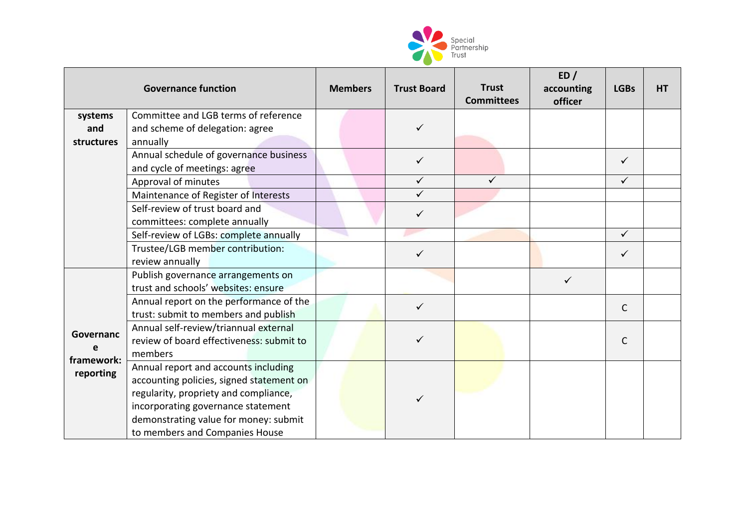

| <b>Governance function</b> |                                          | <b>Members</b> | <b>Trust Board</b> | <b>Trust</b><br><b>Committees</b> | ED/<br>accounting<br>officer | <b>LGBs</b>  | HT |
|----------------------------|------------------------------------------|----------------|--------------------|-----------------------------------|------------------------------|--------------|----|
| systems                    | Committee and LGB terms of reference     |                |                    |                                   |                              |              |    |
| and                        | and scheme of delegation: agree          |                | ✓                  |                                   |                              |              |    |
| structures                 | annually                                 |                |                    |                                   |                              |              |    |
|                            | Annual schedule of governance business   |                | $\checkmark$       |                                   |                              | $\checkmark$ |    |
|                            | and cycle of meetings: agree             |                |                    |                                   |                              |              |    |
|                            | Approval of minutes                      |                | $\checkmark$       | ✓                                 |                              | $\checkmark$ |    |
|                            | Maintenance of Register of Interests     |                | $\checkmark$       |                                   |                              |              |    |
|                            | Self-review of trust board and           |                | ✓                  |                                   |                              |              |    |
|                            | committees: complete annually            |                |                    |                                   |                              |              |    |
|                            | Self-review of LGBs: complete annually   |                |                    |                                   |                              | $\checkmark$ |    |
|                            | Trustee/LGB member contribution:         |                |                    |                                   |                              | $\checkmark$ |    |
|                            | review annually                          |                |                    |                                   |                              |              |    |
|                            | Publish governance arrangements on       |                |                    |                                   | ✓                            |              |    |
|                            | trust and schools' websites: ensure      |                |                    |                                   |                              |              |    |
|                            | Annual report on the performance of the  |                | $\checkmark$       |                                   |                              | $\mathsf{C}$ |    |
|                            | trust: submit to members and publish     |                |                    |                                   |                              |              |    |
| Governanc                  | Annual self-review/triannual external    |                |                    |                                   |                              |              |    |
|                            | review of board effectiveness: submit to |                |                    |                                   |                              | $\mathsf{C}$ |    |
| framework:                 | members                                  |                |                    |                                   |                              |              |    |
| reporting                  | Annual report and accounts including     |                |                    |                                   |                              |              |    |
|                            | accounting policies, signed statement on |                |                    |                                   |                              |              |    |
|                            | regularity, propriety and compliance,    |                |                    |                                   |                              |              |    |
|                            | incorporating governance statement       |                |                    |                                   |                              |              |    |
|                            | demonstrating value for money: submit    |                |                    |                                   |                              |              |    |
|                            | to members and Companies House           |                |                    |                                   |                              |              |    |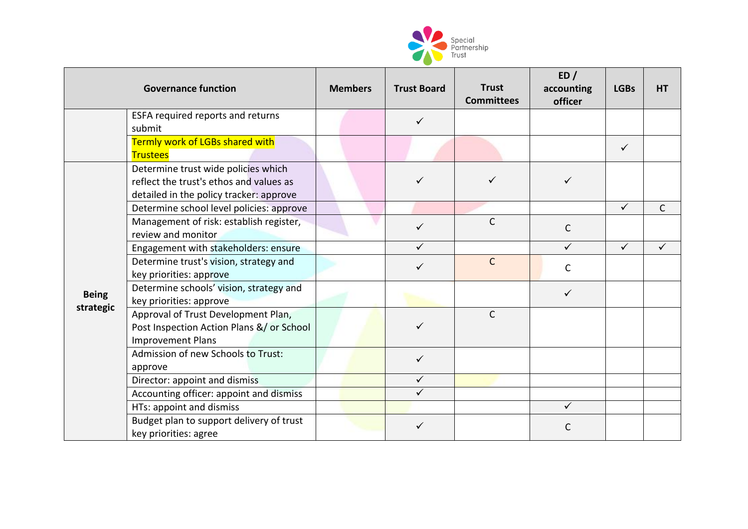

| <b>Governance function</b> |                                                                                                                           | <b>Members</b> | <b>Trust Board</b> | <b>Trust</b><br><b>Committees</b> | ED/<br>accounting<br>officer | <b>LGBs</b>  | <b>HT</b>    |
|----------------------------|---------------------------------------------------------------------------------------------------------------------------|----------------|--------------------|-----------------------------------|------------------------------|--------------|--------------|
|                            | ESFA required reports and returns<br>submit                                                                               |                | $\checkmark$       |                                   |                              |              |              |
|                            | Termly work of LGBs shared with<br><b>Trustees</b>                                                                        |                |                    |                                   |                              | ✓            |              |
|                            | Determine trust wide policies which<br>reflect the trust's ethos and values as<br>detailed in the policy tracker: approve |                | $\checkmark$       |                                   | $\checkmark$                 |              |              |
|                            | Determine school level policies: approve                                                                                  |                |                    |                                   |                              | $\checkmark$ | $\mathsf{C}$ |
|                            | Management of risk: establish register,<br>review and monitor                                                             |                |                    | $\mathsf{C}$                      | C                            |              |              |
|                            | Engagement with stakeholders: ensure                                                                                      |                |                    |                                   | $\checkmark$                 | $\checkmark$ | ✓            |
| <b>Being</b><br>strategic  | Determine trust's vision, strategy and<br>key priorities: approve                                                         |                |                    | $\mathsf{C}$                      | C                            |              |              |
|                            | Determine schools' vision, strategy and<br>key priorities: approve                                                        |                |                    |                                   | $\checkmark$                 |              |              |
|                            | Approval of Trust Development Plan,<br>Post Inspection Action Plans &/ or School<br><b>Improvement Plans</b>              |                |                    | $\mathsf{C}$                      |                              |              |              |
|                            | Admission of new Schools to Trust:<br>approve                                                                             |                | $\checkmark$       |                                   |                              |              |              |
|                            | Director: appoint and dismiss                                                                                             |                | $\checkmark$       |                                   |                              |              |              |
|                            | Accounting officer: appoint and dismiss                                                                                   |                | ✓                  |                                   |                              |              |              |
|                            | HTs: appoint and dismiss                                                                                                  |                |                    |                                   | $\checkmark$                 |              |              |
|                            | Budget plan to support delivery of trust<br>key priorities: agree                                                         |                |                    |                                   | C                            |              |              |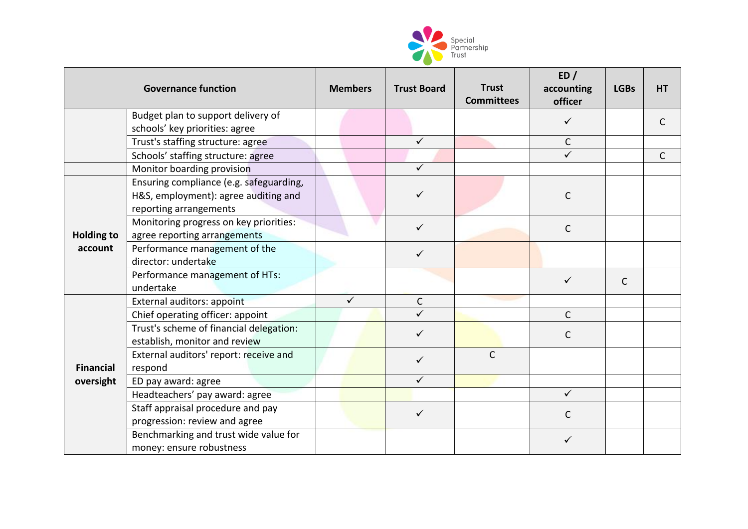

|                              | <b>Governance function</b>                                                                                | <b>Members</b> | <b>Trust Board</b> | <b>Trust</b><br><b>Committees</b> | ED/<br>accounting<br>officer | <b>LGBs</b>  | <b>HT</b> |
|------------------------------|-----------------------------------------------------------------------------------------------------------|----------------|--------------------|-----------------------------------|------------------------------|--------------|-----------|
|                              | Budget plan to support delivery of                                                                        |                |                    |                                   | ✓                            |              | C         |
|                              | schools' key priorities: agree                                                                            |                |                    |                                   |                              |              |           |
|                              | Trust's staffing structure: agree                                                                         |                | $\checkmark$       |                                   | $\mathsf{C}$                 |              |           |
|                              | Schools' staffing structure: agree                                                                        |                |                    |                                   | $\checkmark$                 |              | C         |
|                              | Monitor boarding provision                                                                                |                |                    |                                   |                              |              |           |
| <b>Holding to</b><br>account | Ensuring compliance (e.g. safeguarding,<br>H&S, employment): agree auditing and<br>reporting arrangements |                | ✓                  |                                   | $\mathsf{C}$                 |              |           |
|                              | Monitoring progress on key priorities:<br>agree reporting arrangements                                    |                | ✓                  |                                   | $\mathsf C$                  |              |           |
|                              | Performance management of the<br>director: undertake                                                      |                | ✓                  |                                   |                              |              |           |
|                              | Performance management of HTs:<br>undertake                                                               |                |                    |                                   | ✓                            | $\mathsf{C}$ |           |
|                              | External auditors: appoint                                                                                | $\checkmark$   | $\mathsf C$        |                                   |                              |              |           |
|                              | Chief operating officer: appoint                                                                          |                | $\checkmark$       |                                   | $\mathsf{C}$                 |              |           |
|                              | Trust's scheme of financial delegation:<br>establish, monitor and review                                  |                | ✓                  |                                   | $\mathsf{C}$                 |              |           |
| <b>Financial</b>             | External auditors' report: receive and<br>respond                                                         |                | $\checkmark$       | $\mathsf{C}$                      |                              |              |           |
| oversight                    | ED pay award: agree                                                                                       |                | ✓                  |                                   |                              |              |           |
|                              | Headteachers' pay award: agree                                                                            |                |                    |                                   | ✓                            |              |           |
|                              | Staff appraisal procedure and pay<br>progression: review and agree                                        |                | ✓                  |                                   | C                            |              |           |
|                              | Benchmarking and trust wide value for<br>money: ensure robustness                                         |                |                    |                                   | ✓                            |              |           |